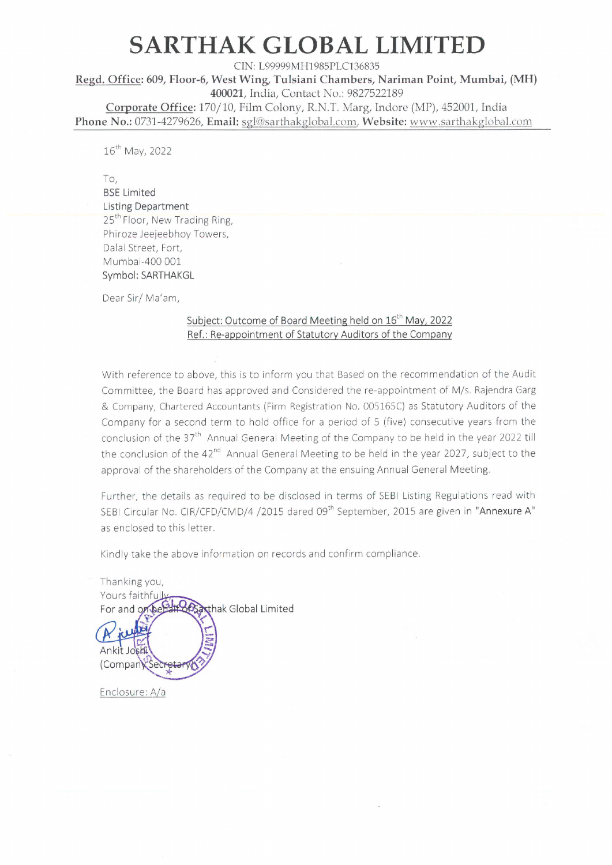## SARTHAK GLOBAL LIMITED

CIN: L99999MH1985PLC136835 Regd. Office: 609, Floor-6, West Wing, Tulsiani Chambers, Nariman Point, Mumbai, (MH) 400021, India, Contact No.: 9827522189 Corporate Office: 170/10, Film Colony, R.N.T. Marg, Indore (MP), 452001, India Phone No.: 0731-4279626, Email: sgl@sarthakglobal.com, Website: www.sarthakglobal.com

16" May, 2022

To,

#### BSE Limited Listing Department

25<sup>th</sup> Floor, New Trading Ring, Phiroze Jeejeebhoy Towers, Dalal Street, Fort, Mumbai-400 001 Symbol: SARTHAKGL

Dear Sir/ Ma'am,

### Subject: Outcome of Board Meeting held on 16"" May, 2022 Ref.: Re-appointment of Statutory Auditors of the Company

With reference to above, this is to inform you that Based on the recommendation of the Audit Committee, the Board has approved and Considered the re-appointment of M/s. Rajendra Garg & Company, Chartered Accountants (Firm Registration No. 005165C) as Statutory Auditors of the Company for a second term to hold office for a period of 5 (five) consecutive years from the conclusion of the 37<sup>th</sup> Annual General Meeting of the Company to be held in the year 2022 till the conclusion of the  $42<sup>nd</sup>$  Annual General Meeting to be held in the year 2027, subject to the approval of the shareholders of the Company at the ensuing Annual General Meeting.

Further, the details as required to be disclosed in terms of SEBI Listing Regulations read with SEBI Circular No. CIR/CFD/CMD/4 /2015 dared 09<sup>th</sup> September, 2015 are given in "Annexure A" as enclosed to this letter.

Kindly take the above information on records and confirm compliance.

Thanking you, Yours faithful #865axthak Global Limited For and on beh Ankit Josh (Company Secret

Enclosure: A/a